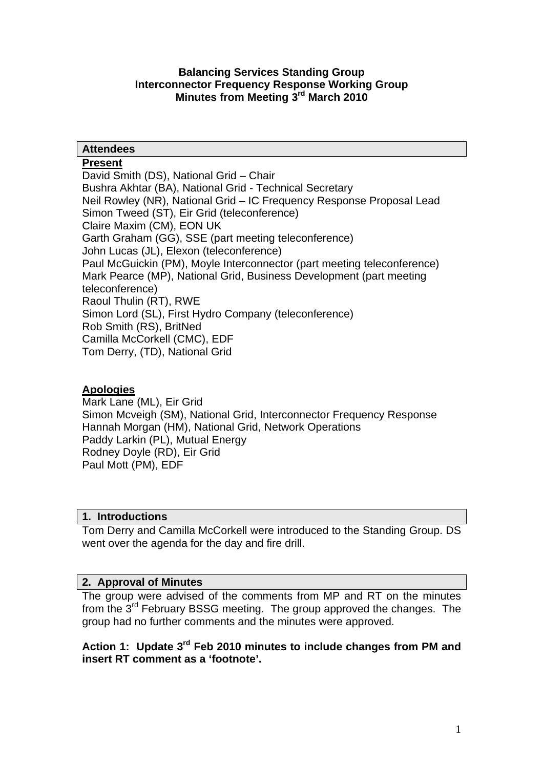### **Balancing Services Standing Group Interconnector Frequency Response Working Group Minutes from Meeting 3rd March 2010**

### **Attendees**

### **Present**

David Smith (DS), National Grid – Chair Bushra Akhtar (BA), National Grid - Technical Secretary Neil Rowley (NR), National Grid – IC Frequency Response Proposal Lead Simon Tweed (ST), Eir Grid (teleconference) Claire Maxim (CM), EON UK Garth Graham (GG), SSE (part meeting teleconference) John Lucas (JL), Elexon (teleconference) Paul McGuickin (PM), Moyle Interconnector (part meeting teleconference) Mark Pearce (MP), National Grid, Business Development (part meeting teleconference) Raoul Thulin (RT), RWE Simon Lord (SL), First Hydro Company (teleconference) Rob Smith (RS), BritNed Camilla McCorkell (CMC), EDF Tom Derry, (TD), National Grid

## **Apologies**

Mark Lane (ML), Eir Grid Simon Mcveigh (SM), National Grid, Interconnector Frequency Response Hannah Morgan (HM), National Grid, Network Operations Paddy Larkin (PL), Mutual Energy Rodney Doyle (RD), Eir Grid Paul Mott (PM), EDF

### **1. Introductions**

Tom Derry and Camilla McCorkell were introduced to the Standing Group. DS went over the agenda for the day and fire drill.

## **2. Approval of Minutes**

The group were advised of the comments from MP and RT on the minutes from the 3rd February BSSG meeting. The group approved the changes. The group had no further comments and the minutes were approved.

### **Action 1: Update 3rd Feb 2010 minutes to include changes from PM and insert RT comment as a 'footnote'.**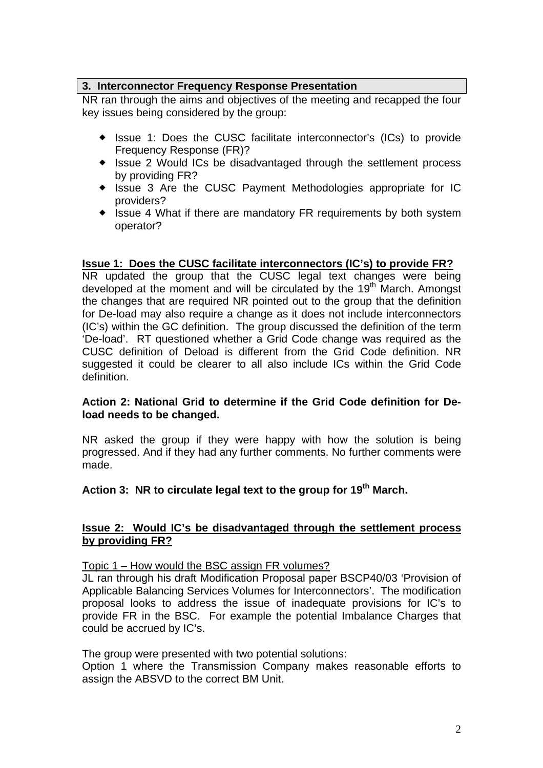### **3. Interconnector Frequency Response Presentation**

NR ran through the aims and objectives of the meeting and recapped the four key issues being considered by the group:

- ◆ Issue 1: Does the CUSC facilitate interconnector's (ICs) to provide Frequency Response (FR)?
- Issue 2 Would ICs be disadvantaged through the settlement process by providing FR?
- Issue 3 Are the CUSC Payment Methodologies appropriate for IC providers?
- Issue 4 What if there are mandatory FR requirements by both system operator?

### **Issue 1: Does the CUSC facilitate interconnectors (IC's) to provide FR?**

NR updated the group that the CUSC legal text changes were being developed at the moment and will be circulated by the 19<sup>th</sup> March. Amongst the changes that are required NR pointed out to the group that the definition for De-load may also require a change as it does not include interconnectors (IC's) within the GC definition. The group discussed the definition of the term 'De-load'. RT questioned whether a Grid Code change was required as the CUSC definition of Deload is different from the Grid Code definition. NR suggested it could be clearer to all also include ICs within the Grid Code definition.

### **Action 2: National Grid to determine if the Grid Code definition for Deload needs to be changed.**

NR asked the group if they were happy with how the solution is being progressed. And if they had any further comments. No further comments were made.

## **Action 3: NR to circulate legal text to the group for 19th March.**

### **Issue 2: Would IC's be disadvantaged through the settlement process by providing FR?**

Topic 1 – How would the BSC assign FR volumes?

JL ran through his draft Modification Proposal paper BSCP40/03 'Provision of Applicable Balancing Services Volumes for Interconnectors'. The modification proposal looks to address the issue of inadequate provisions for IC's to provide FR in the BSC. For example the potential Imbalance Charges that could be accrued by IC's.

The group were presented with two potential solutions:

Option 1 where the Transmission Company makes reasonable efforts to assign the ABSVD to the correct BM Unit.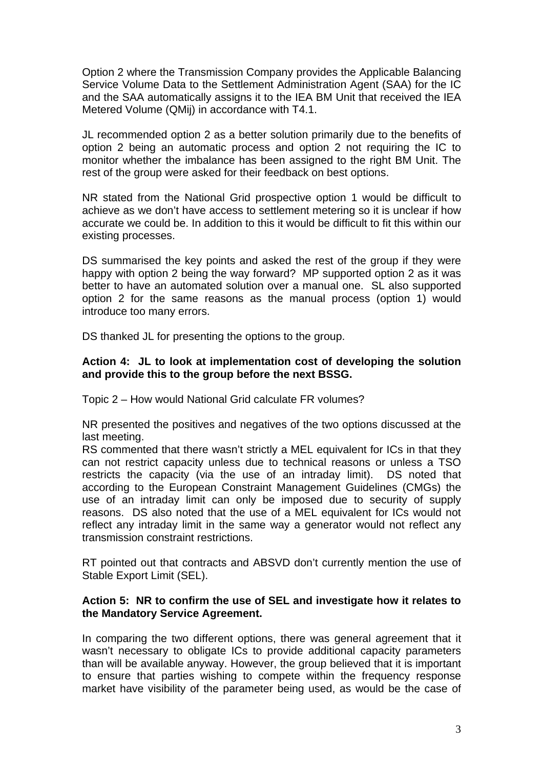Option 2 where the Transmission Company provides the Applicable Balancing Service Volume Data to the Settlement Administration Agent (SAA) for the IC and the SAA automatically assigns it to the IEA BM Unit that received the IEA Metered Volume (QMij) in accordance with T4.1.

JL recommended option 2 as a better solution primarily due to the benefits of option 2 being an automatic process and option 2 not requiring the IC to monitor whether the imbalance has been assigned to the right BM Unit. The rest of the group were asked for their feedback on best options.

NR stated from the National Grid prospective option 1 would be difficult to achieve as we don't have access to settlement metering so it is unclear if how accurate we could be. In addition to this it would be difficult to fit this within our existing processes.

DS summarised the key points and asked the rest of the group if they were happy with option 2 being the way forward? MP supported option 2 as it was better to have an automated solution over a manual one. SL also supported option 2 for the same reasons as the manual process (option 1) would introduce too many errors.

DS thanked JL for presenting the options to the group.

### **Action 4: JL to look at implementation cost of developing the solution and provide this to the group before the next BSSG.**

Topic 2 – How would National Grid calculate FR volumes?

NR presented the positives and negatives of the two options discussed at the last meeting.

RS commented that there wasn't strictly a MEL equivalent for ICs in that they can not restrict capacity unless due to technical reasons or unless a TSO restricts the capacity (via the use of an intraday limit). DS noted that according to the European Constraint Management Guidelines (CMGs) the use of an intraday limit can only be imposed due to security of supply reasons. DS also noted that the use of a MEL equivalent for ICs would not reflect any intraday limit in the same way a generator would not reflect any transmission constraint restrictions.

RT pointed out that contracts and ABSVD don't currently mention the use of Stable Export Limit (SEL).

#### **Action 5: NR to confirm the use of SEL and investigate how it relates to the Mandatory Service Agreement.**

In comparing the two different options, there was general agreement that it wasn't necessary to obligate ICs to provide additional capacity parameters than will be available anyway. However, the group believed that it is important to ensure that parties wishing to compete within the frequency response market have visibility of the parameter being used, as would be the case of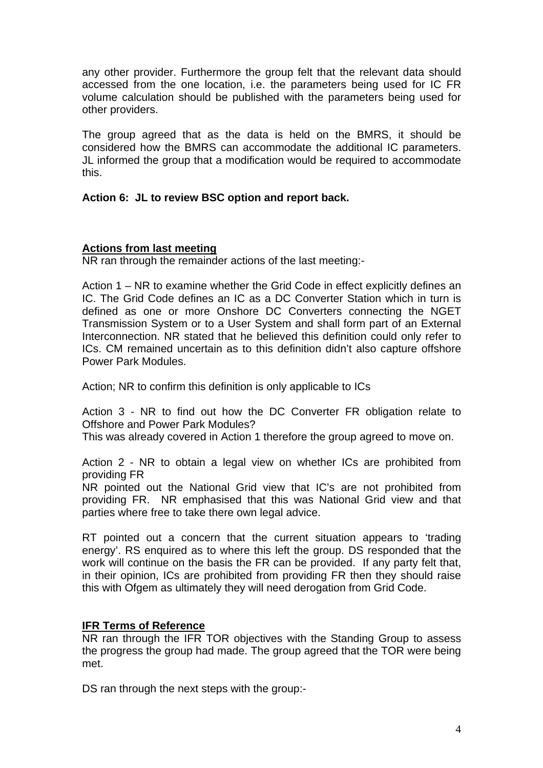any other provider. Furthermore the group felt that the relevant data should accessed from the one location, i.e. the parameters being used for IC FR volume calculation should be published with the parameters being used for other providers.

The group agreed that as the data is held on the BMRS, it should be considered how the BMRS can accommodate the additional IC parameters. JL informed the group that a modification would be required to accommodate this.

### **Action 6: JL to review BSC option and report back.**

### **Actions from last meeting**

NR ran through the remainder actions of the last meeting:-

Action 1 – NR to examine whether the Grid Code in effect explicitly defines an IC. The Grid Code defines an IC as a DC Converter Station which in turn is defined as one or more Onshore DC Converters connecting the NGET Transmission System or to a User System and shall form part of an External Interconnection. NR stated that he believed this definition could only refer to ICs. CM remained uncertain as to this definition didn't also capture offshore Power Park Modules.

Action; NR to confirm this definition is only applicable to ICs

Action 3 - NR to find out how the DC Converter FR obligation relate to Offshore and Power Park Modules?

This was already covered in Action 1 therefore the group agreed to move on.

Action 2 - NR to obtain a legal view on whether ICs are prohibited from providing FR

NR pointed out the National Grid view that IC's are not prohibited from providing FR. NR emphasised that this was National Grid view and that parties where free to take there own legal advice.

RT pointed out a concern that the current situation appears to 'trading energy'. RS enquired as to where this left the group. DS responded that the work will continue on the basis the FR can be provided. If any party felt that, in their opinion, ICs are prohibited from providing FR then they should raise this with Ofgem as ultimately they will need derogation from Grid Code.

### **IFR Terms of Reference**

NR ran through the IFR TOR objectives with the Standing Group to assess the progress the group had made. The group agreed that the TOR were being met.

DS ran through the next steps with the group:-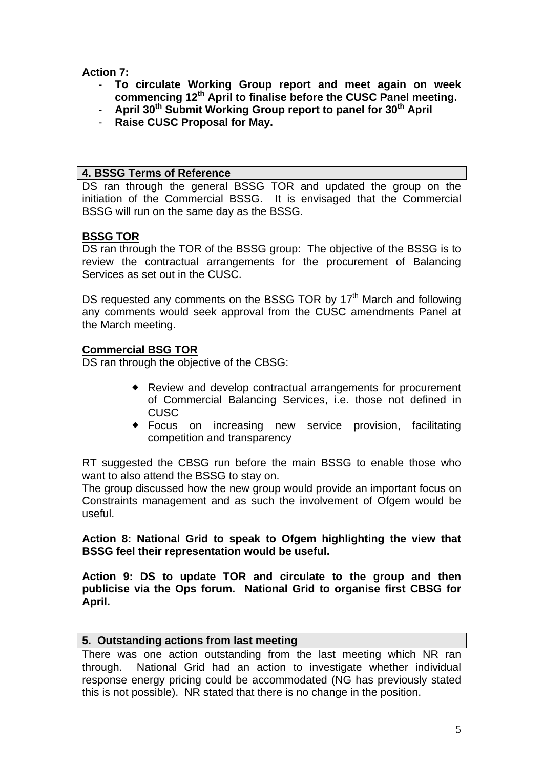**Action 7:** 

- **To circulate Working Group report and meet again on week commencing 12th April to finalise before the CUSC Panel meeting.**
- **April 30<sup>th</sup> Submit Working Group report to panel for 30<sup>th</sup> April**
- **Raise CUSC Proposal for May.**

### **4. BSSG Terms of Reference**

DS ran through the general BSSG TOR and updated the group on the initiation of the Commercial BSSG. It is envisaged that the Commercial BSSG will run on the same day as the BSSG.

## **BSSG TOR**

DS ran through the TOR of the BSSG group: The objective of the BSSG is to review the contractual arrangements for the procurement of Balancing Services as set out in the CUSC.

DS requested any comments on the BSSG TOR by 17<sup>th</sup> March and following any comments would seek approval from the CUSC amendments Panel at the March meeting.

## **Commercial BSG TOR**

DS ran through the objective of the CBSG:

- Review and develop contractual arrangements for procurement of Commercial Balancing Services, i.e. those not defined in CUSC
- Focus on increasing new service provision, facilitating competition and transparency

RT suggested the CBSG run before the main BSSG to enable those who want to also attend the BSSG to stay on.

The group discussed how the new group would provide an important focus on Constraints management and as such the involvement of Ofgem would be useful.

**Action 8: National Grid to speak to Ofgem highlighting the view that BSSG feel their representation would be useful.** 

**Action 9: DS to update TOR and circulate to the group and then publicise via the Ops forum. National Grid to organise first CBSG for April.** 

### **5. Outstanding actions from last meeting**

There was one action outstanding from the last meeting which NR ran through. National Grid had an action to investigate whether individual response energy pricing could be accommodated (NG has previously stated this is not possible). NR stated that there is no change in the position.